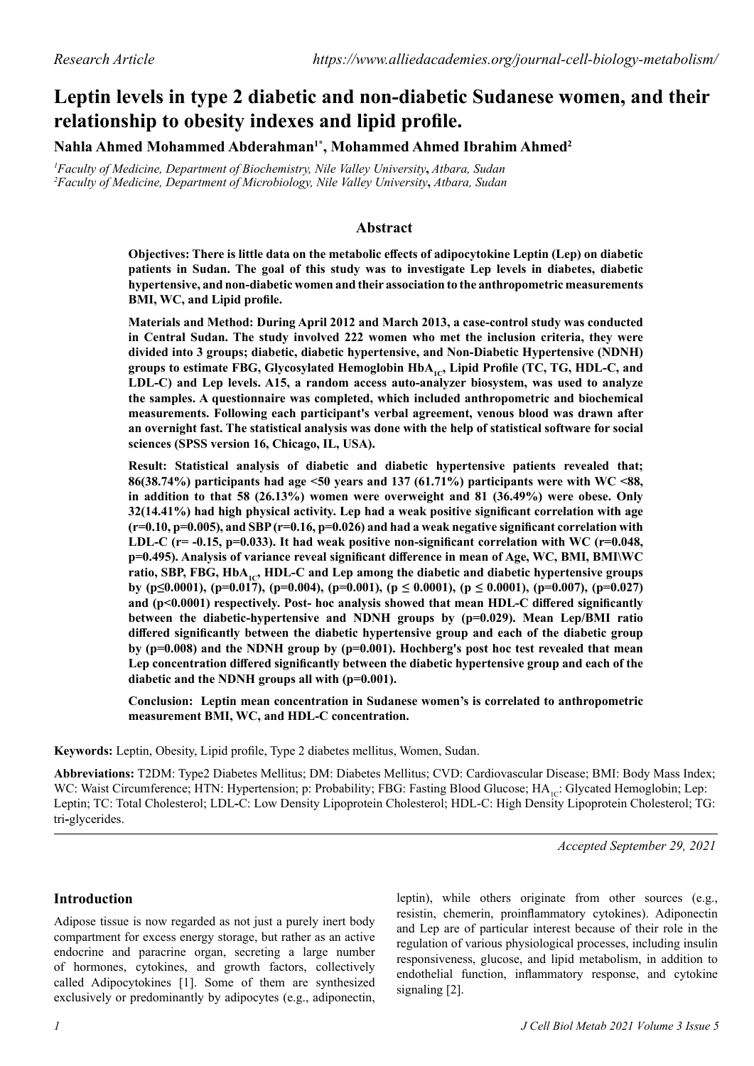# **Leptin levels in type 2 diabetic and non-diabetic Sudanese women, and their relationship to obesity indexes and lipid profile.**

**Nahla Ahmed Mohammed Abderahman1\*, Mohammed Ahmed Ibrahim Ahmed2**

*1 Faculty of Medicine, Department of Biochemistry, Nile Valley University***,** *Atbara, Sudan 2 Faculty of Medicine, Department of Microbiology, Nile Valley University***,** *Atbara, Sudan*

# **Abstract**

**Objectives: There is little data on the metabolic effects of adipocytokine Leptin (Lep) on diabetic patients in Sudan. The goal of this study was to investigate Lep levels in diabetes, diabetic hypertensive, and non-diabetic women and their association to the anthropometric measurements BMI, WC, and Lipid profile.**

**Materials and Method: During April 2012 and March 2013, a case-control study was conducted in Central Sudan. The study involved 222 women who met the inclusion criteria, they were divided into 3 groups; diabetic, diabetic hypertensive, and Non-Diabetic Hypertensive (NDNH)**  groups to estimate FBG, Glycosylated Hemoglobin HbA<sub>1c</sub>, Lipid Profile (TC, TG, HDL-C, and **LDL-C) and Lep levels. A15, a random access auto-analyzer biosystem, was used to analyze the samples. A questionnaire was completed, which included anthropometric and biochemical measurements. Following each participant's verbal agreement, venous blood was drawn after an overnight fast. The statistical analysis was done with the help of statistical software for social sciences (SPSS version 16, Chicago, IL, USA).**

**Result: Statistical analysis of diabetic and diabetic hypertensive patients revealed that; 86(38.74%) participants had age <50 years and 137 (61.71%) participants were with WC <88, in addition to that 58 (26.13%) women were overweight and 81 (36.49%) were obese. Only 32(14.41%) had high physical activity. Lep had a weak positive significant correlation with age (r=0.10, p=0.005), and SBP (r=0.16, p=0.026) and had a weak negative significant correlation with LDL-C (r= -0.15, p=0.033). It had weak positive non-significant correlation with WC (r=0.048, p=0.495). Analysis of variance reveal significant difference in mean of Age, WC, BMI, BMI\WC**  ratio, SBP, FBG, HbA<sub>1c</sub>, HDL-C and Lep among the diabetic and diabetic hypertensive groups **by (p≤0.0001), (p=0.017), (p=0.004), (p=0.001), (p ≤ 0.0001), (p ≤ 0.0001), (p=0.007), (p=0.027) and (p<0.0001) respectively. Post- hoc analysis showed that mean HDL-C differed significantly between the diabetic-hypertensive and NDNH groups by (p=0.029). Mean Lep/BMI ratio differed significantly between the diabetic hypertensive group and each of the diabetic group by (p=0.008) and the NDNH group by (p=0.001). Hochberg's post hoc test revealed that mean Lep concentration differed significantly between the diabetic hypertensive group and each of the diabetic and the NDNH groups all with (p=0.001).**

**Conclusion: Leptin mean concentration in Sudanese women's is correlated to anthropometric measurement BMI, WC, and HDL-C concentration.** 

**Keywords:** Leptin, Obesity, Lipid profile, Type 2 diabetes mellitus, Women, Sudan.

**Abbreviations:** T2DM: Type2 Diabetes Mellitus; DM: Diabetes Mellitus; CVD: Cardiovascular Disease; BMI: Body Mass Index; WC: Waist Circumference; HTN: Hypertension; p: Probability; FBG: Fasting Blood Glucose; HA<sub>1C</sub>: Glycated Hemoglobin; Lep: Leptin; TC: Total Cholesterol; LDL**-**C: Low Density Lipoprotein Cholesterol; HDL-C: High Density Lipoprotein Cholesterol; TG: tri**-**glycerides.

*Accepted September 29, 2021*

# **Introduction**

Adipose tissue is now regarded as not just a purely inert body compartment for excess energy storage, but rather as an active endocrine and paracrine organ, secreting a large number of hormones, cytokines, and growth factors, collectively called Adipocytokines [1]. Some of them are synthesized exclusively or predominantly by adipocytes (e.g., adiponectin,

leptin), while others originate from other sources (e.g., resistin, chemerin, proinflammatory cytokines). Adiponectin and Lep are of particular interest because of their role in the regulation of various physiological processes, including insulin responsiveness, glucose, and lipid metabolism, in addition to endothelial function, inflammatory response, and cytokine signaling [2].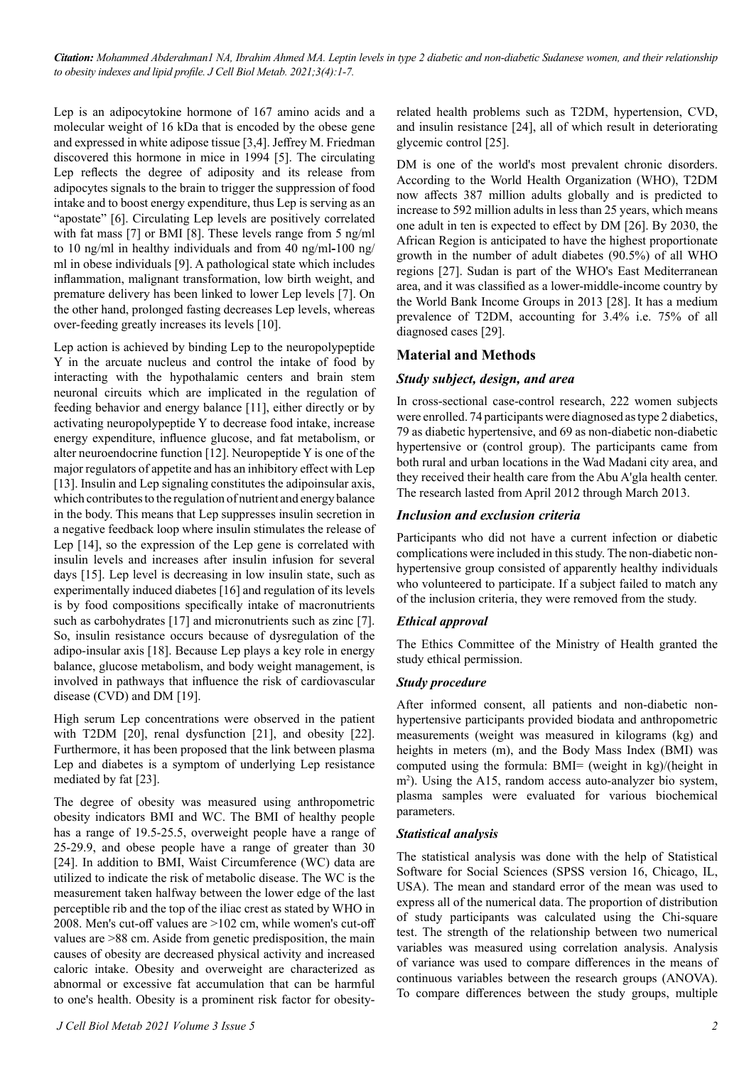*Citation: Mohammed Abderahman1 NA, Ibrahim Ahmed MA. Leptin levels in type 2 diabetic and non-diabetic Sudanese women, and their relationship to obesity indexes and lipid profile. J Cell Biol Metab. 2021;3(4):1-7.*

Lep is an adipocytokine hormone of 167 amino acids and a molecular weight of 16 kDa that is encoded by the obese gene and expressed in white adipose tissue [3,4]. Jeffrey M. Friedman discovered this hormone in mice in 1994 [5]. The circulating Lep reflects the degree of adiposity and its release from adipocytes signals to the brain to trigger the suppression of food intake and to boost energy expenditure, thus Lep is serving as an "apostate" [6]. Circulating Lep levels are positively correlated with fat mass [7] or BMI [8]. These levels range from 5 ng/ml to 10 ng/ml in healthy individuals and from 40 ng/ml**-**100 ng/ ml in obese individuals [9]. A pathological state which includes inflammation, malignant transformation, low birth weight, and premature delivery has been linked to lower Lep levels [7]. On the other hand, prolonged fasting decreases Lep levels, whereas over-feeding greatly increases its levels [10].

Lep action is achieved by binding Lep to the neuropolypeptide Y in the arcuate nucleus and control the intake of food by interacting with the hypothalamic centers and brain stem neuronal circuits which are implicated in the regulation of feeding behavior and energy balance [11], either directly or by activating neuropolypeptide Y to decrease food intake, increase energy expenditure, influence glucose, and fat metabolism, or alter neuroendocrine function [12]. Neuropeptide Y is one of the major regulators of appetite and has an inhibitory effect with Lep [13]. Insulin and Lep signaling constitutes the adipoinsular axis, which contributes to the regulation of nutrient and energy balance in the body. This means that Lep suppresses insulin secretion in a negative feedback loop where insulin stimulates the release of Lep [14], so the expression of the Lep gene is correlated with insulin levels and increases after insulin infusion for several days [15]. Lep level is decreasing in low insulin state, such as experimentally induced diabetes [16] and regulation of its levels is by food compositions specifically intake of macronutrients such as carbohydrates [17] and micronutrients such as zinc [7]. So, insulin resistance occurs because of dysregulation of the adipo-insular axis [18]. Because Lep plays a key role in energy balance, glucose metabolism, and body weight management, is involved in pathways that influence the risk of cardiovascular disease (CVD) and DM [19].

High serum Lep concentrations were observed in the patient with T2DM [20], renal dysfunction [21], and obesity [22]. Furthermore, it has been proposed that the link between plasma Lep and diabetes is a symptom of underlying Lep resistance mediated by fat [23].

The degree of obesity was measured using anthropometric obesity indicators BMI and WC. The BMI of healthy people has a range of 19.5-25.5, overweight people have a range of 25-29.9, and obese people have a range of greater than 30 [24]. In addition to BMI, Waist Circumference (WC) data are utilized to indicate the risk of metabolic disease. The WC is the measurement taken halfway between the lower edge of the last perceptible rib and the top of the iliac crest as stated by WHO in 2008. Men's cut-off values are >102 cm, while women's cut-off values are >88 cm. Aside from genetic predisposition, the main causes of obesity are decreased physical activity and increased caloric intake. Obesity and overweight are characterized as abnormal or excessive fat accumulation that can be harmful to one's health. Obesity is a prominent risk factor for obesityrelated health problems such as T2DM, hypertension, CVD, and insulin resistance [24], all of which result in deteriorating glycemic control [25].

DM is one of the world's most prevalent chronic disorders. According to the World Health Organization (WHO), T2DM now affects 387 million adults globally and is predicted to increase to 592 million adults in less than 25 years, which means one adult in ten is expected to effect by DM [26]. By 2030, the African Region is anticipated to have the highest proportionate growth in the number of adult diabetes (90.5%) of all WHO regions [27]. Sudan is part of the WHO's East Mediterranean area, and it was classified as a lower-middle-income country by the World Bank Income Groups in 2013 [28]. It has a medium prevalence of T2DM, accounting for 3.4% i.e. 75% of all diagnosed cases [29].

## **Material and Methods**

#### *Study subject, design, and area*

In cross-sectional case-control research, 222 women subjects were enrolled. 74 participants were diagnosed as type 2 diabetics, 79 as diabetic hypertensive, and 69 as non-diabetic non-diabetic hypertensive or (control group). The participants came from both rural and urban locations in the Wad Madani city area, and they received their health care from the Abu A'gla health center. The research lasted from April 2012 through March 2013.

#### *Inclusion and exclusion criteria*

Participants who did not have a current infection or diabetic complications were included in this study. The non-diabetic nonhypertensive group consisted of apparently healthy individuals who volunteered to participate. If a subject failed to match any of the inclusion criteria, they were removed from the study.

#### *Ethical approval*

The Ethics Committee of the Ministry of Health granted the study ethical permission.

#### *Study procedure*

After informed consent, all patients and non-diabetic nonhypertensive participants provided biodata and anthropometric measurements (weight was measured in kilograms (kg) and heights in meters (m), and the Body Mass Index (BMI) was computed using the formula: BMI= (weight in kg)/(height in m<sup>2</sup>). Using the A15, random access auto-analyzer bio system, plasma samples were evaluated for various biochemical parameters.

#### *Statistical analysis*

The statistical analysis was done with the help of Statistical Software for Social Sciences (SPSS version 16, Chicago, IL, USA). The mean and standard error of the mean was used to express all of the numerical data. The proportion of distribution of study participants was calculated using the Chi-square test. The strength of the relationship between two numerical variables was measured using correlation analysis. Analysis of variance was used to compare differences in the means of continuous variables between the research groups (ANOVA). To compare differences between the study groups, multiple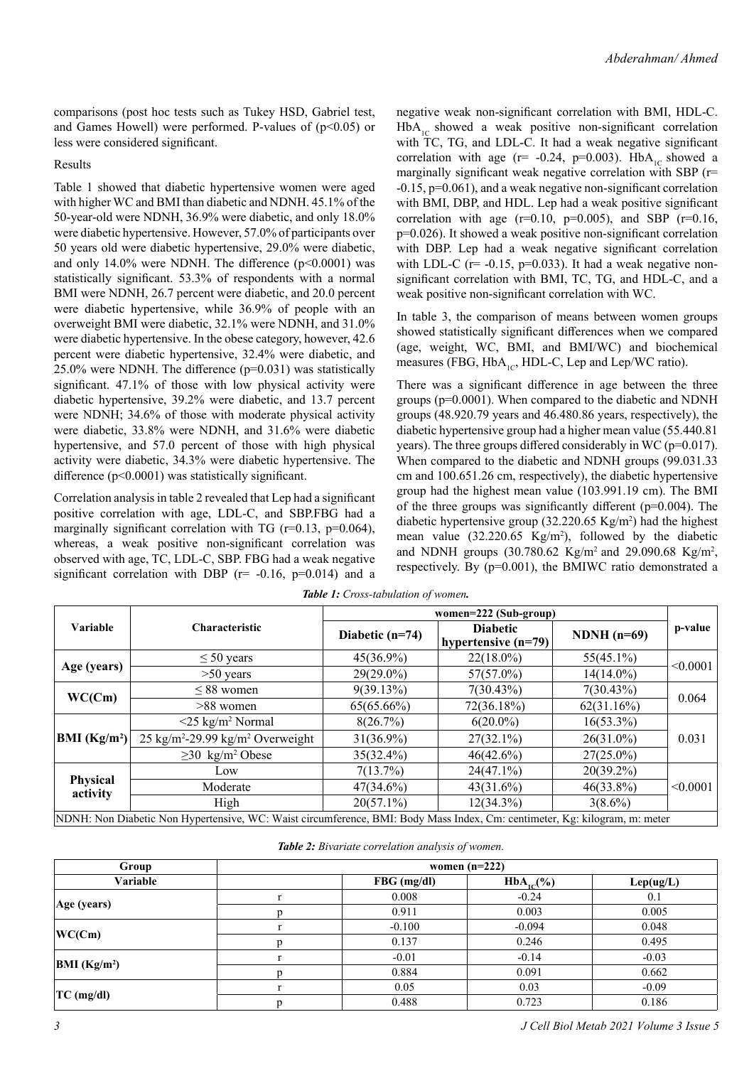comparisons (post hoc tests such as Tukey HSD, Gabriel test, and Games Howell) were performed. P-values of  $(p<0.05)$  or less were considered significant.

#### Results

Table 1 showed that diabetic hypertensive women were aged with higher WC and BMI than diabetic and NDNH. 45.1% of the 50-year-old were NDNH, 36.9% were diabetic, and only 18.0% were diabetic hypertensive. However, 57.0% of participants over 50 years old were diabetic hypertensive, 29.0% were diabetic, and only 14.0% were NDNH. The difference  $(p<0.0001)$  was statistically significant. 53.3% of respondents with a normal BMI were NDNH, 26.7 percent were diabetic, and 20.0 percent were diabetic hypertensive, while 36.9% of people with an overweight BMI were diabetic, 32.1% were NDNH, and 31.0% were diabetic hypertensive. In the obese category, however, 42.6 percent were diabetic hypertensive, 32.4% were diabetic, and 25.0% were NDNH. The difference (p=0.031) was statistically significant. 47.1% of those with low physical activity were diabetic hypertensive, 39.2% were diabetic, and 13.7 percent were NDNH; 34.6% of those with moderate physical activity were diabetic, 33.8% were NDNH, and 31.6% were diabetic hypertensive, and 57.0 percent of those with high physical activity were diabetic, 34.3% were diabetic hypertensive. The difference (p<0.0001) was statistically significant.

Correlation analysis in table 2 revealed that Lep had a significant positive correlation with age, LDL-C, and SBP.FBG had a marginally significant correlation with TG ( $r=0.13$ ,  $p=0.064$ ), whereas, a weak positive non-significant correlation was observed with age, TC, LDL-C, SBP. FBG had a weak negative significant correlation with DBP ( $r= -0.16$ ,  $p=0.014$ ) and a

negative weak non-significant correlation with BMI, HDL-C.  $HbA_{1c}$  showed a weak positive non-significant correlation with TC, TG, and LDL-C. It had a weak negative significant correlation with age ( $r = -0.24$ ,  $p=0.003$ ). HbA<sub>1C</sub> showed a marginally significant weak negative correlation with SBP (r= -0.15, p=0.061), and a weak negative non-significant correlation with BMI, DBP, and HDL. Lep had a weak positive significant correlation with age  $(r=0.10, p=0.005)$ , and SBP  $(r=0.16,$ p=0.026). It showed a weak positive non-significant correlation with DBP. Lep had a weak negative significant correlation with LDL-C ( $r = -0.15$ ,  $p = 0.033$ ). It had a weak negative nonsignificant correlation with BMI, TC, TG, and HDL-C, and a weak positive non-significant correlation with WC.

In table 3, the comparison of means between women groups showed statistically significant differences when we compared (age, weight, WC, BMI, and BMI/WC) and biochemical measures (FBG,  $HbA_{1C}$ , HDL-C, Lep and Lep/WC ratio).

There was a significant difference in age between the three groups (p=0.0001). When compared to the diabetic and NDNH groups (48.920.79 years and 46.480.86 years, respectively), the diabetic hypertensive group had a higher mean value (55.440.81 years). The three groups differed considerably in WC (p=0.017). When compared to the diabetic and NDNH groups (99.031.33 cm and 100.651.26 cm, respectively), the diabetic hypertensive group had the highest mean value (103.991.19 cm). The BMI of the three groups was significantly different  $(p=0.004)$ . The diabetic hypertensive group  $(32.220.65 \text{ Kg/m}^2)$  had the highest mean value  $(32.220.65 \text{ Kg/m}^2)$ , followed by the diabetic and NDNH groups (30.780.62 Kg/m<sup>2</sup> and 29.090.68 Kg/m<sup>2</sup>, respectively. By (p=0.001), the BMIWC ratio demonstrated a

|                                                                                                                            |                                                       | women=222 (Sub-group) |                                          |              |          |  |  |
|----------------------------------------------------------------------------------------------------------------------------|-------------------------------------------------------|-----------------------|------------------------------------------|--------------|----------|--|--|
| Variable                                                                                                                   | <b>Characteristic</b>                                 | Diabetic $(n=74)$     | <b>Diabetic</b><br>hypertensive $(n=79)$ | $NDNH(n=69)$ | p-value  |  |  |
|                                                                                                                            | $\leq 50$ years                                       | 45(36.9%)             | $22(18.0\%)$                             | $55(45.1\%)$ | < 0.0001 |  |  |
| Age (years)                                                                                                                | $>50$ years                                           | $29(29.0\%)$          | $57(57.0\%)$                             | $14(14.0\%)$ |          |  |  |
| WC(Cm)                                                                                                                     | $< 88$ women                                          | 9(39.13%)             | 7(30.43%)                                | 7(30.43%)    | 0.064    |  |  |
|                                                                                                                            | $>88$ women                                           | 65(65.66%)            | 72(36.18%)                               | 62(31.16%)   |          |  |  |
| <b>BMI</b> (Kg/m <sup>2</sup> )                                                                                            | $<$ 25 kg/m <sup>2</sup> Normal                       | 8(26.7%)              | $6(20.0\%)$                              | $16(53.3\%)$ | 0.031    |  |  |
|                                                                                                                            | $25 \text{ kg/m}^2 - 29.99 \text{ kg/m}^2$ Overweight | $31(36.9\%)$          | $27(32.1\%)$                             | $26(31.0\%)$ |          |  |  |
|                                                                                                                            | $\geq$ 30 kg/m <sup>2</sup> Obese                     | $35(32.4\%)$          | $46(42.6\%)$                             | $27(25.0\%)$ |          |  |  |
| Physical<br>activity                                                                                                       | Low                                                   | 7(13.7%)              | $24(47.1\%)$                             | $20(39.2\%)$ |          |  |  |
|                                                                                                                            | Moderate                                              | $47(34.6\%)$          | $43(31.6\%)$                             | $46(33.8\%)$ | < 0.0001 |  |  |
|                                                                                                                            | High                                                  | $20(57.1\%)$          | $12(34.3\%)$                             | $3(8.6\%)$   |          |  |  |
| NDNH: Non Diabetic Non Hypertensive, WC: Waist circumference, BMI: Body Mass Index, Cm: centimeter, Kg: kilogram, m: meter |                                                       |                       |                                          |              |          |  |  |

| Group                    | women $(n=222)$ |               |                 |           |  |  |  |
|--------------------------|-----------------|---------------|-----------------|-----------|--|--|--|
| Variable                 |                 | $FBG$ (mg/dl) | $HbA_{1c}(\% )$ | Lep(ug/L) |  |  |  |
|                          |                 | 0.008         | $-0.24$         | 0.1       |  |  |  |
| Age (years)              |                 | 0.911         | 0.003           | 0.005     |  |  |  |
|                          |                 | $-0.100$      | $-0.094$        | 0.048     |  |  |  |
| WC(Cm)                   |                 | 0.137         | 0.246           | 0.495     |  |  |  |
|                          |                 | $-0.01$       | $-0.14$         | $-0.03$   |  |  |  |
| BMI (Kg/m <sup>2</sup> ) |                 | 0.884         | 0.091           | 0.662     |  |  |  |
|                          |                 | 0.05          | 0.03            | $-0.09$   |  |  |  |
| $TC$ (mg/dl)             | p               | 0.488         | 0.723           | 0.186     |  |  |  |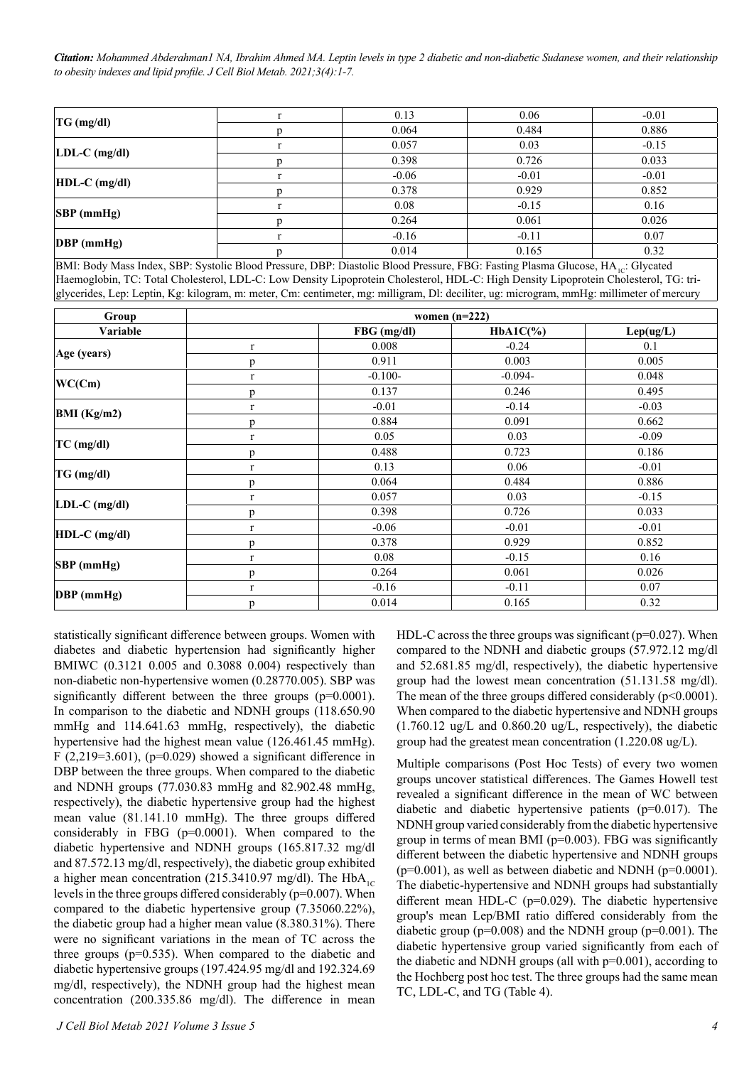*Citation: Mohammed Abderahman1 NA, Ibrahim Ahmed MA. Leptin levels in type 2 diabetic and non-diabetic Sudanese women, and their relationship to obesity indexes and lipid profile. J Cell Biol Metab. 2021;3(4):1-7.*

| $TG$ (mg/dl)       | 0.13    | 0.06    | $-0.01$ |
|--------------------|---------|---------|---------|
|                    | 0.064   | 0.484   | 0.886   |
| $LDL-C$ (mg/dl)    | 0.057   | 0.03    | $-0.15$ |
|                    | 0.398   | 0.726   | 0.033   |
| $HDL-C$ (mg/dl)    | $-0.06$ | $-0.01$ | $-0.01$ |
|                    | 0.378   | 0.929   | 0.852   |
|                    | 0.08    | $-0.15$ | 0.16    |
| $ SBP$ (mmHg)      | 0.264   | 0.061   | 0.026   |
| $\vert$ DBP (mmHg) | $-0.16$ | $-0.11$ | 0.07    |
|                    | 0.014   | 0.165   | 0.32    |

BMI: Body Mass Index, SBP: Systolic Blood Pressure, DBP: Diastolic Blood Pressure, FBG: Fasting Plasma Glucose, HA<sub>1C</sub>: Glycated Haemoglobin, TC: Total Cholesterol, LDL-C: Low Density Lipoprotein Cholesterol, HDL-C: High Density Lipoprotein Cholesterol, TG: triglycerides, Lep: Leptin, Kg: kilogram, m: meter, Cm: centimeter, mg: milligram, Dl: deciliter, ug: microgram, mmHg: millimeter of mercury

| Group           | women $(n=222)$ |               |             |           |  |  |
|-----------------|-----------------|---------------|-------------|-----------|--|--|
| Variable        |                 | FBG (mg/dl)   | $HbA1C(\%)$ | Lep(ug/L) |  |  |
|                 | $\mathbf r$     | 0.008         | $-0.24$     | 0.1       |  |  |
| Age (years)     | p               | 0.911         | 0.003       | 0.005     |  |  |
| WC(Cm)          | $\mathbf r$     | $-0.100-$     | $-0.094-$   | 0.048     |  |  |
|                 | p               | 0.137         | 0.246       | 0.495     |  |  |
|                 | $\mathbf r$     | $-0.01$       | $-0.14$     | $-0.03$   |  |  |
| BMI(Kg/m2)      | p               | 0.884         | 0.091       | 0.662     |  |  |
|                 | $\mathbf r$     | 0.05          | 0.03        | $-0.09$   |  |  |
| $TC$ (mg/dl)    | p               | 0.488         | 0.723       | 0.186     |  |  |
| $TG$ (mg/dl)    | $\bf r$         | 0.13          | 0.06        | $-0.01$   |  |  |
|                 | p               | 0.064         | 0.484       | 0.886     |  |  |
| $LDL-C$ (mg/dl) | $\bf r$         | 0.057<br>0.03 |             | $-0.15$   |  |  |
|                 | p               | 0.398         | 0.726       | 0.033     |  |  |
| HDL-C (mg/dl)   | $\mathbf r$     | $-0.06$       | $-0.01$     | $-0.01$   |  |  |
|                 | p               | 0.378         | 0.929       | 0.852     |  |  |
| $SBP$ (mmHg)    | $\bf r$         | 0.08          | $-0.15$     | 0.16      |  |  |
|                 | p               | 0.264         | 0.061       | 0.026     |  |  |
| DBP (mmHg)      | $\mathbf r$     | $-0.16$       | $-0.11$     | 0.07      |  |  |
|                 | p               | 0.014         | 0.165       | 0.32      |  |  |

statistically significant difference between groups. Women with diabetes and diabetic hypertension had significantly higher BMIWC (0.3121 0.005 and 0.3088 0.004) respectively than non-diabetic non-hypertensive women (0.28770.005). SBP was significantly different between the three groups (p=0.0001). In comparison to the diabetic and NDNH groups (118.650.90 mmHg and 114.641.63 mmHg, respectively), the diabetic hypertensive had the highest mean value (126.461.45 mmHg). F (2,219=3.601), ( $p=0.029$ ) showed a significant difference in DBP between the three groups. When compared to the diabetic and NDNH groups (77.030.83 mmHg and 82.902.48 mmHg, respectively), the diabetic hypertensive group had the highest mean value (81.141.10 mmHg). The three groups differed considerably in FBG (p=0.0001). When compared to the diabetic hypertensive and NDNH groups (165.817.32 mg/dl and 87.572.13 mg/dl, respectively), the diabetic group exhibited a higher mean concentration (215.3410.97 mg/dl). The  $HbA_{1C}$ levels in the three groups differed considerably (p=0.007). When compared to the diabetic hypertensive group (7.35060.22%), the diabetic group had a higher mean value (8.380.31%). There were no significant variations in the mean of TC across the three groups ( $p=0.535$ ). When compared to the diabetic and diabetic hypertensive groups (197.424.95 mg/dl and 192.324.69 mg/dl, respectively), the NDNH group had the highest mean concentration (200.335.86 mg/dl). The difference in mean

HDL-C across the three groups was significant ( $p=0.027$ ). When compared to the NDNH and diabetic groups (57.972.12 mg/dl and 52.681.85 mg/dl, respectively), the diabetic hypertensive group had the lowest mean concentration (51.131.58 mg/dl). The mean of the three groups differed considerably  $(p<0.0001)$ . When compared to the diabetic hypertensive and NDNH groups (1.760.12 ug/L and 0.860.20 ug/L, respectively), the diabetic group had the greatest mean concentration (1.220.08 ug/L).

Multiple comparisons (Post Hoc Tests) of every two women groups uncover statistical differences. The Games Howell test revealed a significant difference in the mean of WC between diabetic and diabetic hypertensive patients (p=0.017). The NDNH group varied considerably from the diabetic hypertensive group in terms of mean BMI ( $p=0.003$ ). FBG was significantly different between the diabetic hypertensive and NDNH groups  $(p=0.001)$ , as well as between diabetic and NDNH  $(p=0.0001)$ . The diabetic-hypertensive and NDNH groups had substantially different mean HDL-C (p=0.029). The diabetic hypertensive group's mean Lep/BMI ratio differed considerably from the diabetic group ( $p=0.008$ ) and the NDNH group ( $p=0.001$ ). The diabetic hypertensive group varied significantly from each of the diabetic and NDNH groups (all with  $p=0.001$ ), according to the Hochberg post hoc test. The three groups had the same mean TC, LDL-C, and TG (Table 4).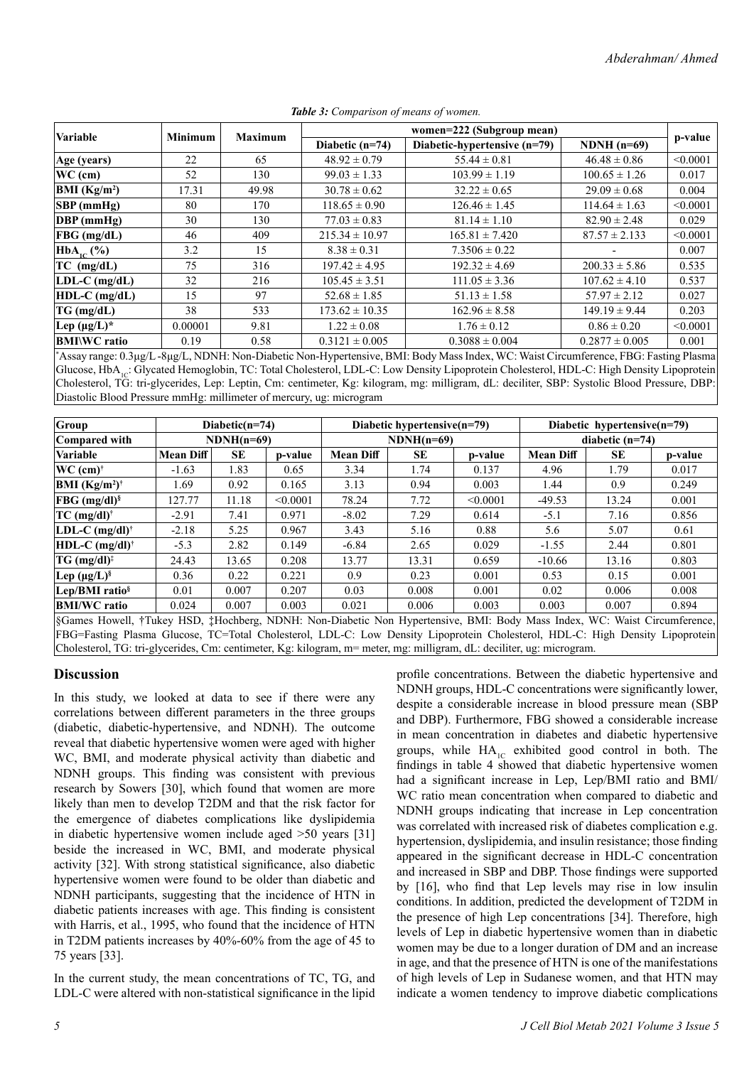|                          | <b>Minimum</b> | <b>Maximum</b> | women=222 (Subgroup mean) |                              |                    |          |  |
|--------------------------|----------------|----------------|---------------------------|------------------------------|--------------------|----------|--|
| Variable                 |                |                | Diabetic $(n=74)$         | Diabetic-hypertensive (n=79) | $NDNH(n=69)$       | p-value  |  |
| $Age$ (years)            | 22             | 65             | $48.92 \pm 0.79$          | $55.44 \pm 0.81$             | $46.48 \pm 0.86$   | < 0.0001 |  |
| $WC$ (cm)                | 52             | 130            | $99.03 \pm 1.33$          | $103.99 \pm 1.19$            | $100.65 \pm 1.26$  | 0.017    |  |
| BMI (Kg/m <sup>2</sup> ) | 17.31          | 49.98          | $30.78 \pm 0.62$          | $32.22 \pm 0.65$             | $29.09 \pm 0.68$   | 0.004    |  |
| SBP(mmHg)                | 80             | 170            | $118.65 \pm 0.90$         | $126.46 \pm 1.45$            | $114.64 \pm 1.63$  | < 0.0001 |  |
| $\vert$ DBP (mmHg)       | 30             | 130            | $77.03 \pm 0.83$          | $81.14 \pm 1.10$             | $82.90 \pm 2.48$   | 0.029    |  |
| $FBG$ (mg/dL)            | 46             | 409            | $215.34 \pm 10.97$        | $165.81 \pm 7.420$           | $87.57 \pm 2.133$  | < 0.0001 |  |
| $HbA_{1c}$ (%)           | 3.2            | 15             | $8.38 \pm 0.31$           | $7.3506 \pm 0.22$            |                    | 0.007    |  |
| $TC$ (mg/dL)             | 75             | 316            | $197.42 \pm 4.95$         | $192.32 \pm 4.69$            | $200.33 \pm 5.86$  | 0.535    |  |
| $LDL-C$ (mg/dL)          | 32             | 216            | $105.45 \pm 3.51$         | $111.05 \pm 3.36$            | $107.62 \pm 4.10$  | 0.537    |  |
| $HDL-C$ (mg/dL)          | 15             | 97             | $52.68 \pm 1.85$          | $51.13 \pm 1.58$             | $57.97 \pm 2.12$   | 0.027    |  |
| TG (mg/dL)               | 38             | 533            | $173.62 \pm 10.35$        | $162.96 \pm 8.58$            | $149.19 \pm 9.44$  | 0.203    |  |
| Lep $(\mu g/L)^*$        | 0.00001        | 9.81           | $1.22 \pm 0.08$           | $1.76 \pm 0.12$              | $0.86 \pm 0.20$    | < 0.0001 |  |
| <b>BMI\WC</b> ratio      | 0.19           | 0.58           | $0.3121 \pm 0.005$        | $0.3088 \pm 0.004$           | $0.2877 \pm 0.005$ | 0.001    |  |

*Table 3: Comparison of means of women.*

\* Assay range: 0.3μg/L -8μg/L, NDNH: Non-Diabetic Non-Hypertensive, BMI: Body Mass Index, WC: Waist Circumference, FBG: Fasting Plasma Glucose, HbA<sub>1c</sub>: Glycated Hemoglobin, TC: Total Cholesterol, LDL-C: Low Density Lipoprotein Cholesterol, HDL-C: High Density Lipoprotein Cholesterol, TG: tri-glycerides, Lep: Leptin, Cm: centimeter, Kg: kilogram, mg: milligram, dL: deciliter, SBP: Systolic Blood Pressure, DBP: Diastolic Blood Pressure mmHg: millimeter of mercury, ug: microgram

| Group                                              | Diabetic( $n=74$ ) |           | Diabetic hypertensive(n=79) |                  |           | Diabetic hypertensive(n=79) |                  |           |         |
|----------------------------------------------------|--------------------|-----------|-----------------------------|------------------|-----------|-----------------------------|------------------|-----------|---------|
| Compared with                                      | $NDNH(n=69)$       |           | $NDNH(n=69)$                |                  |           | diabetic $(n=74)$           |                  |           |         |
| <b>Variable</b>                                    | <b>Mean Diff</b>   | <b>SE</b> | p-value                     | <b>Mean Diff</b> | <b>SE</b> | p-value                     | <b>Mean Diff</b> | <b>SE</b> | p-value |
| WC (cm) <sup>†</sup>                               | $-1.63$            | 1.83      | 0.65                        | 3.34             | 1.74      | 0.137                       | 4.96             | 1.79      | 0.017   |
| <b>BMI</b> (Kg/m <sup>2</sup> ) <sup>†</sup>       | 1.69               | 0.92      | 0.165                       | 3.13             | 0.94      | 0.003                       | 1.44             | 0.9       | 0.249   |
| $FBG$ (mg/dl) <sup>§</sup>                         | 127.77             | 11.18     | < 0.0001                    | 78.24            | 7.72      | < 0.0001                    | $-49.53$         | 13.24     | 0.001   |
| $TC$ (mg/dl) <sup>†</sup>                          | $-2.91$            | 7.41      | 0.971                       | $-8.02$          | 7.29      | 0.614                       | $-5.1$           | 7.16      | 0.856   |
| LDL-C $(mg/dl)^{\dagger}$                          | $-2.18$            | 5.25      | 0.967                       | 3.43             | 5.16      | 0.88                        | 5.6              | 5.07      | 0.61    |
| $HDL-C$ (mg/dl) <sup>†</sup>                       | $-5.3$             | 2.82      | 0.149                       | $-6.84$          | 2.65      | 0.029                       | $-1.55$          | 2.44      | 0.801   |
| $TG \ (mg/dl)^{\ddagger}$                          | 24.43              | 13.65     | 0.208                       | 13.77            | 13.31     | 0.659                       | $-10.66$         | 13.16     | 0.803   |
| $\mathbf{Lep} \, (\mu \mathbf{g}/\mathbf{L})^{\S}$ | 0.36               | 0.22      | 0.221                       | 0.9              | 0.23      | 0.001                       | 0.53             | 0.15      | 0.001   |
| Lep/BMI ratio <sup>§</sup>                         | 0.01               | 0.007     | 0.207                       | 0.03             | 0.008     | 0.001                       | 0.02             | 0.006     | 0.008   |
| <b>BMI/WC</b> ratio                                | 0.024              | 0.007     | 0.003                       | 0.021            | 0.006     | 0.003                       | 0.003            | 0.007     | 0.894   |

§Games Howell, †Tukey HSD, ‡Hochberg, NDNH: Non-Diabetic Non Hypertensive, BMI: Body Mass Index, WC: Waist Circumference, FBG=Fasting Plasma Glucose, TC=Total Cholesterol, LDL-C: Low Density Lipoprotein Cholesterol, HDL-C: High Density Lipoprotein Cholesterol, TG: tri-glycerides, Cm: centimeter, Kg: kilogram, m= meter, mg: milligram, dL: deciliter, ug: microgram.

# **Discussion**

In this study, we looked at data to see if there were any correlations between different parameters in the three groups (diabetic, diabetic-hypertensive, and NDNH). The outcome reveal that diabetic hypertensive women were aged with higher WC, BMI, and moderate physical activity than diabetic and NDNH groups. This finding was consistent with previous research by Sowers [30], which found that women are more likely than men to develop T2DM and that the risk factor for the emergence of diabetes complications like dyslipidemia in diabetic hypertensive women include aged >50 years [31] beside the increased in WC, BMI, and moderate physical activity [32]. With strong statistical significance, also diabetic hypertensive women were found to be older than diabetic and NDNH participants, suggesting that the incidence of HTN in diabetic patients increases with age. This finding is consistent with Harris, et al., 1995, who found that the incidence of HTN in T2DM patients increases by 40%-60% from the age of 45 to 75 years [33].

In the current study, the mean concentrations of TC, TG, and LDL-C were altered with non-statistical significance in the lipid

profile concentrations. Between the diabetic hypertensive and NDNH groups, HDL-C concentrations were significantly lower, despite a considerable increase in blood pressure mean (SBP and DBP). Furthermore, FBG showed a considerable increase in mean concentration in diabetes and diabetic hypertensive groups, while  $HA_{1C}$  exhibited good control in both. The findings in table 4 showed that diabetic hypertensive women had a significant increase in Lep, Lep/BMI ratio and BMI/ WC ratio mean concentration when compared to diabetic and NDNH groups indicating that increase in Lep concentration was correlated with increased risk of diabetes complication e.g. hypertension, dyslipidemia, and insulin resistance; those finding appeared in the significant decrease in HDL-C concentration and increased in SBP and DBP. Those findings were supported by [16], who find that Lep levels may rise in low insulin conditions. In addition, predicted the development of T2DM in the presence of high Lep concentrations [34]. Therefore, high levels of Lep in diabetic hypertensive women than in diabetic women may be due to a longer duration of DM and an increase in age, and that the presence of HTN is one of the manifestations of high levels of Lep in Sudanese women, and that HTN may indicate a women tendency to improve diabetic complications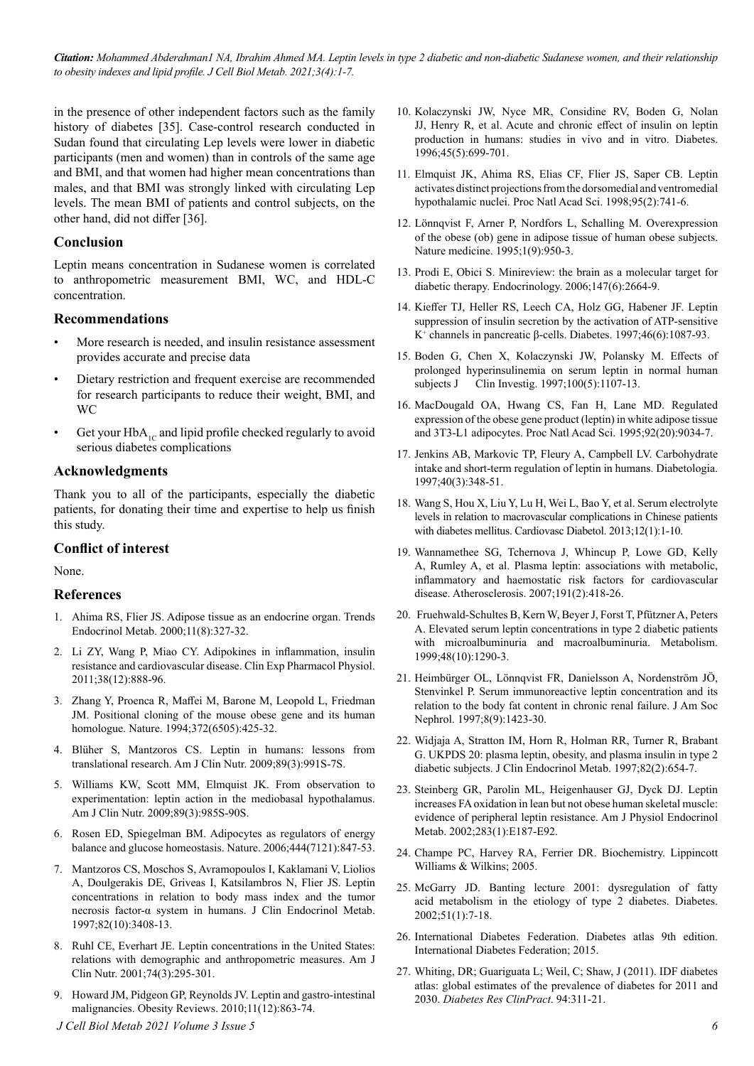*Citation: Mohammed Abderahman1 NA, Ibrahim Ahmed MA. Leptin levels in type 2 diabetic and non-diabetic Sudanese women, and their relationship to obesity indexes and lipid profile. J Cell Biol Metab. 2021;3(4):1-7.*

in the presence of other independent factors such as the family history of diabetes [35]. Case-control research conducted in Sudan found that circulating Lep levels were lower in diabetic participants (men and women) than in controls of the same age and BMI, and that women had higher mean concentrations than males, and that BMI was strongly linked with circulating Lep levels. The mean BMI of patients and control subjects, on the other hand, did not differ [36].

## **Conclusion**

Leptin means concentration in Sudanese women is correlated to anthropometric measurement BMI, WC, and HDL-C concentration.

#### **Recommendations**

- More research is needed, and insulin resistance assessment provides accurate and precise data
- Dietary restriction and frequent exercise are recommended for research participants to reduce their weight, BMI, and WC
- Get your  $HbA_{1C}$  and lipid profile checked regularly to avoid serious diabetes complications

#### **Acknowledgments**

Thank you to all of the participants, especially the diabetic patients, for donating their time and expertise to help us finish this study.

#### **Conflict of interest**

None.

#### **References**

- 1. [Ahima RS, Flier JS. Adipose tissue as an endocrine organ. Trends](https://www.sciencedirect.com/science/article/abs/pii/S1043276000003015) [Endocrinol Metab. 2000;11\(8\):327-32](https://www.sciencedirect.com/science/article/abs/pii/S1043276000003015).
- 2. Li ZY, Wang P, Miao CY. Adipokines in inflammation, insulin resistance and cardiovascular disease. Clin Exp Pharmacol Physiol. 2011;38(12):888-96.
- 3. [Zhang Y, Proenca R, Maffei M, Barone M, Leopold L, Friedman](https://www.nature.com/articles/372425a0) [JM. Positional cloning of the mouse obese gene and its human](https://www.nature.com/articles/372425a0) [homologue. Nature. 1994;372\(6505\):425-32.](https://www.nature.com/articles/372425a0)
- 4. Blüher S, Mantzoros CS. Leptin in humans: lessons from translational research. Am J Clin Nutr. 2009;89(3):991S-7S.
- 5. [Williams KW, Scott MM, Elmquist JK. From observation to](https://doi.org/10.3945/ajcn.2008.26788D) [experimentation: leptin action in the mediobasal hypothalamus.](https://doi.org/10.3945/ajcn.2008.26788D) [Am J Clin Nutr. 2009;89\(3\):985S-90S](https://doi.org/10.3945/ajcn.2008.26788D).
- 6. Rosen ED, Spiegelman BM. Adipocytes as regulators of energy balance and glucose homeostasis. Nature. 2006;444(7121):847-53.
- 7. [Mantzoros CS, Moschos S, Avramopoulos I, Kaklamani V, Liolios](https://academic.oup.com/jcem/article/82/10/3408/2823404?login=true) [A, Doulgerakis DE, Griveas I, Katsilambros N, Flier JS. Leptin](https://academic.oup.com/jcem/article/82/10/3408/2823404?login=true) [concentrations in relation to body mass index and the tumor](https://academic.oup.com/jcem/article/82/10/3408/2823404?login=true) [necrosis factor-α system in humans. J Clin Endocrinol Metab.](https://academic.oup.com/jcem/article/82/10/3408/2823404?login=true) [1997;82\(10\):3408-13.](https://academic.oup.com/jcem/article/82/10/3408/2823404?login=true)
- 8. Ruhl CE, Everhart JE. Leptin concentrations in the United States: relations with demographic and anthropometric measures. Am J Clin Nutr. 2001;74(3):295-301.
- 9. Howard JM, Pidgeon GP, Reynolds JV. Leptin and gastro‐intestinal malignancies. Obesity Reviews. 2010;11(12):863-74.
- *J Cell Biol Metab 2021 Volume 3 Issue 5*
- 10. [Kolaczynski JW, Nyce MR, Considine RV, Boden G, Nolan](https://doi.org/10.2337/diab.45.5.699) [JJ, Henry R, et al. Acute and chronic effect of insulin on leptin](https://doi.org/10.2337/diab.45.5.699) [production in humans: studies in vivo and in vitro. Diabetes.](https://doi.org/10.2337/diab.45.5.699) [1996;45\(5\):699-701.](https://doi.org/10.2337/diab.45.5.699)
- 11. Elmquist JK, Ahima RS, Elias CF, Flier JS, Saper CB. Leptin activates distinct projections from the dorsomedial and ventromedial hypothalamic nuclei. Proc Natl Acad Sci. 1998;95(2):741-6.
- 12. [Lönnqvist F, Arner P, Nordfors L, Schalling M. Overexpression](https://www.nature.com/articles/nm0995-950) [of the obese \(ob\) gene in adipose tissue of human obese subjects.](https://www.nature.com/articles/nm0995-950) [Nature medicine. 1995;1\(9\):950-3.](https://www.nature.com/articles/nm0995-950)
- 13. [Prodi E, Obici S. Minireview: the brain as a molecular target for](https://doi.org/10.1210/en.2006-0143) [diabetic therapy. Endocrinology. 2006;147\(6\):2664-9](https://doi.org/10.1210/en.2006-0143).
- 14. [Kieffer TJ, Heller RS, Leech CA, Holz GG, Habener JF. Leptin](https://doi.org/10.2337/diab.46.6.1087)  [suppression of insulin secretion by the activation of ATP-sensitive](https://doi.org/10.2337/diab.46.6.1087)  K<sup>+</sup>  [channels in pancreatic β-cells. Diabetes. 1997;46\(6\):1087-93](https://doi.org/10.2337/diab.46.6.1087).
- 15. Boden G, Chen X, Kolaczynski JW, Polansky M. Effects of prolonged hyperinsulinemia on serum leptin in normal human subjects J Clin Investig. 1997;100(5):1107-13.
- 16. [MacDougald OA, Hwang CS, Fan H, Lane MD. Regulated](https://doi.org/10.1073/pnas.92.20.9034)  [expression of the obese gene product \(leptin\) in white adipose tissue](https://doi.org/10.1073/pnas.92.20.9034)  [and 3T3-L1 adipocytes. Proc Natl Acad Sci. 1995;92\(20\):9034-7](https://doi.org/10.1073/pnas.92.20.9034).
- 17. [Jenkins AB, Markovic TP, Fleury A, Campbell LV. Carbohydrate](https://link.springer.com/article/10.1007/s001250050686)  [intake and short-term regulation of leptin in humans. Diabetologia.](https://link.springer.com/article/10.1007/s001250050686)  [1997;40\(3\):348-51](https://link.springer.com/article/10.1007/s001250050686).
- 18. Wang S, Hou X, Liu Y, Lu H, Wei L, Bao Y, et al. Serum electrolyte levels in relation to macrovascular complications in Chinese patients with diabetes mellitus. Cardiovasc Diabetol. 2013;12(1):1-10.
- 19. [Wannamethee SG, Tchernova J, Whincup P, Lowe GD, Kelly](https://doi.org/10.1016/j.atherosclerosis.2006.04.012)  [A, Rumley A, et al. Plasma leptin: associations with metabolic,](https://doi.org/10.1016/j.atherosclerosis.2006.04.012)  [inflammatory and haemostatic risk factors for cardiovascular](https://doi.org/10.1016/j.atherosclerosis.2006.04.012)  [disease. Atherosclerosis. 2007;191\(2\):418-26](https://doi.org/10.1016/j.atherosclerosis.2006.04.012).
- 20. [Fruehwald-Schultes B, Kern W, Beyer J, Forst T, Pfützner A, Peters](https://doi.org/10.1016/S0026-0495(99)90270-6)  [A. Elevated serum leptin concentrations in type 2 diabetic patients](https://doi.org/10.1016/S0026-0495(99)90270-6) [with microalbuminuria and macroalbuminuria. Metabolism.](https://doi.org/10.1016/S0026-0495(99)90270-6) [1999;48\(10\):1290-3.](https://doi.org/10.1016/S0026-0495(99)90270-6)
- 21. Heimbürger OL, Lönnqvist FR, Danielsson A, Nordenström JÖ, Stenvinkel P. Serum immunoreactive leptin concentration and its relation to the body fat content in chronic renal failure. J Am Soc Nephrol. 1997;8(9):1423-30.
- 22. Widjaja A, Stratton IM, Horn R, Holman RR, Turner R, Brabant G. UKPDS 20: plasma leptin, obesity, and plasma insulin in type 2 diabetic subjects. J Clin Endocrinol Metab. 1997;82(2):654-7.
- 23. Steinberg GR, Parolin ML, Heigenhauser GJ, Dyck DJ. Leptin increases FA oxidation in lean but not obese human skeletal muscle: evidence of peripheral leptin resistance. Am J Physiol Endocrinol Metab. 2002;283(1):E187-E92.
- 24. Champe PC, Harvey RA, Ferrier DR. Biochemistry. Lippincott Williams & Wilkins; 2005.
- 25. [McGarry JD. Banting lecture 2001: dysregulation of fatty](https://doi.org/10.2337/diabetes.51.1.7)  [acid metabolism in the etiology of type 2 diabetes. Diabetes.](https://doi.org/10.2337/diabetes.51.1.7)  [2002;51\(1\):7-18](https://doi.org/10.2337/diabetes.51.1.7).
- 26. International Diabetes Federation. Diabetes atlas 9th edition. International Diabetes Federation; 2015.
- 27. Whiting, DR; Guariguata L; Weil, C; Shaw, J (2011). IDF diabetes atlas: global estimates of the prevalence of diabetes for 2011 and 2030. *Diabetes Res ClinPract*. 94:311-21.